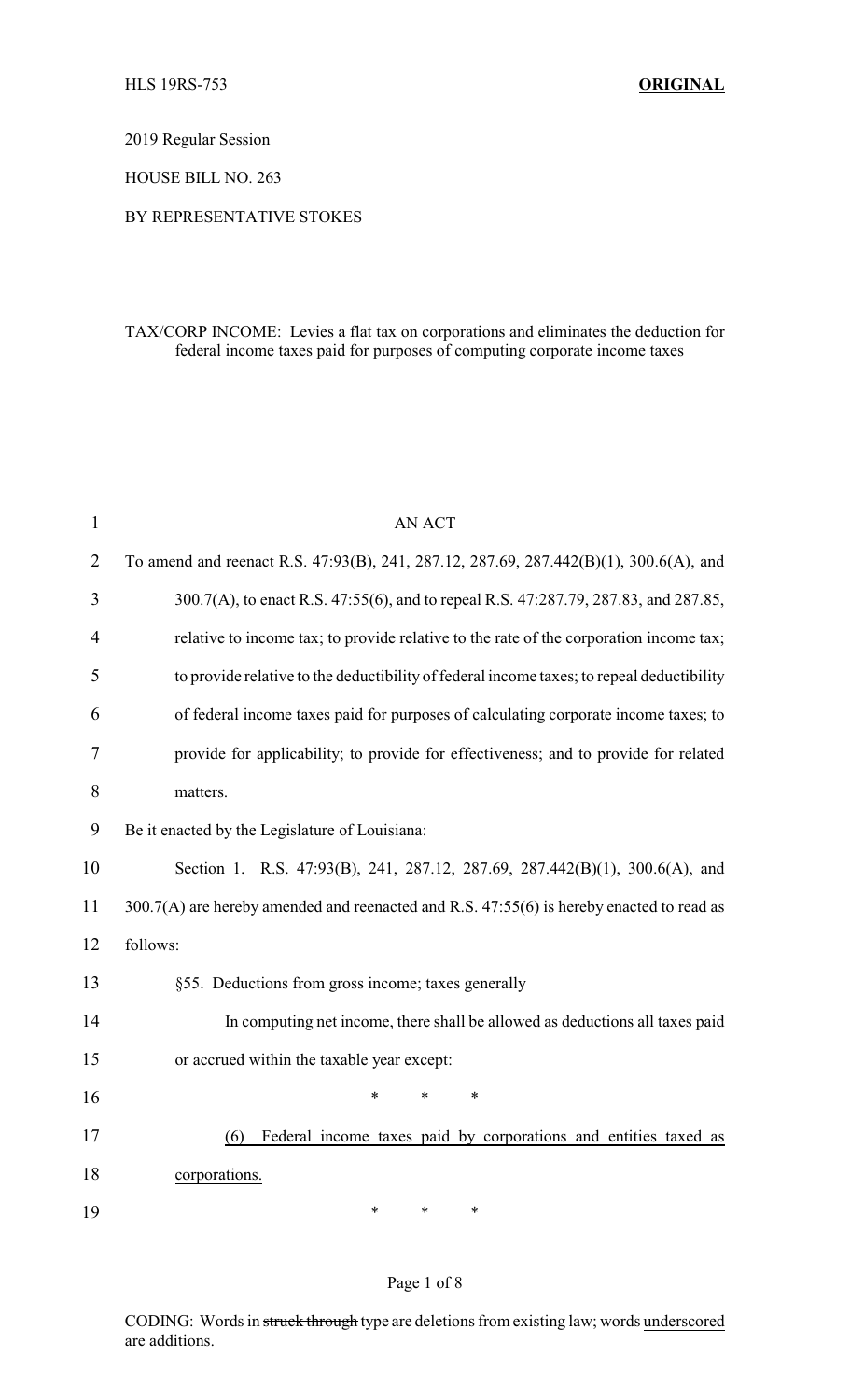2019 Regular Session

HOUSE BILL NO. 263

#### BY REPRESENTATIVE STOKES

### TAX/CORP INCOME: Levies a flat tax on corporations and eliminates the deduction for federal income taxes paid for purposes of computing corporate income taxes

| $\mathbf{1}$   | <b>AN ACT</b>                                                                             |
|----------------|-------------------------------------------------------------------------------------------|
| $\overline{2}$ | To amend and reenact R.S. 47:93(B), 241, 287.12, 287.69, 287.442(B)(1), 300.6(A), and     |
| 3              | 300.7(A), to enact R.S. 47:55(6), and to repeal R.S. 47:287.79, 287.83, and 287.85,       |
| $\overline{4}$ | relative to income tax; to provide relative to the rate of the corporation income tax;    |
| 5              | to provide relative to the deductibility of federal income taxes; to repeal deductibility |
| 6              | of federal income taxes paid for purposes of calculating corporate income taxes; to       |
| 7              | provide for applicability; to provide for effectiveness; and to provide for related       |
| 8              | matters.                                                                                  |
| 9              | Be it enacted by the Legislature of Louisiana:                                            |
| 10             | Section 1. R.S. 47:93(B), 241, 287.12, 287.69, 287.442(B)(1), 300.6(A), and               |
| 11             | 300.7(A) are hereby amended and reenacted and R.S. 47:55(6) is hereby enacted to read as  |
| 12             | follows:                                                                                  |
| 13             | §55. Deductions from gross income; taxes generally                                        |
| 14             | In computing net income, there shall be allowed as deductions all taxes paid              |
| 15             | or accrued within the taxable year except:                                                |
| 16             | $\ast$<br>$\ast$<br>$\ast$                                                                |
| 17             | Federal income taxes paid by corporations and entities taxed as<br>(6)                    |
| 18             | corporations.                                                                             |
| 19             | $\ast$<br>*<br>*                                                                          |

#### Page 1 of 8

CODING: Words in struck through type are deletions from existing law; words underscored are additions.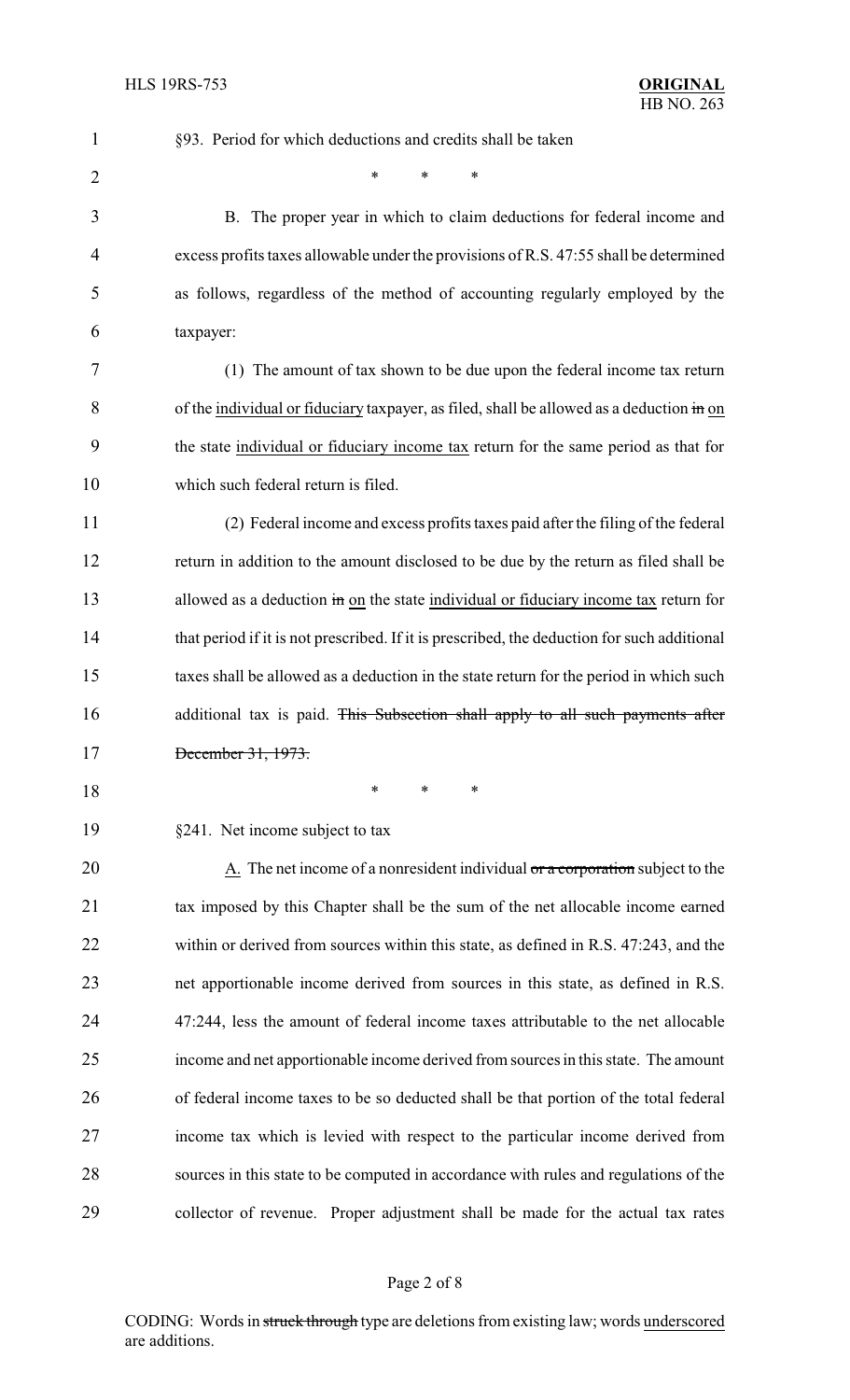| $\mathbf{1}$   | §93. Period for which deductions and credits shall be taken                                 |
|----------------|---------------------------------------------------------------------------------------------|
| $\overline{2}$ | *<br>∗<br>∗                                                                                 |
| 3              | B. The proper year in which to claim deductions for federal income and                      |
| 4              | excess profits taxes allowable under the provisions of R.S. 47:55 shall be determined       |
| 5              | as follows, regardless of the method of accounting regularly employed by the                |
| 6              | taxpayer:                                                                                   |
| 7              | (1) The amount of tax shown to be due upon the federal income tax return                    |
| 8              | of the individual or fiduciary taxpayer, as filed, shall be allowed as a deduction in on    |
| 9              | the state individual or fiduciary income tax return for the same period as that for         |
| 10             | which such federal return is filed.                                                         |
| 11             | (2) Federal income and excess profits taxes paid after the filing of the federal            |
| 12             | return in addition to the amount disclosed to be due by the return as filed shall be        |
| 13             | allowed as a deduction in on the state individual or fiduciary income tax return for        |
| 14             | that period if it is not prescribed. If it is prescribed, the deduction for such additional |
| 15             | taxes shall be allowed as a deduction in the state return for the period in which such      |
| 16             | additional tax is paid. This Subsection shall apply to all such payments after              |
| 17             | December 31, 1973.                                                                          |
| 18             | $\ast$<br>*<br>∗                                                                            |
| 19             | §241. Net income subject to tax                                                             |
| 20             | A. The net income of a nonresident individual or a corporation subject to the               |
| 21             | tax imposed by this Chapter shall be the sum of the net allocable income earned             |
| 22             | within or derived from sources within this state, as defined in R.S. 47:243, and the        |
| 23             | net apportionable income derived from sources in this state, as defined in R.S.             |
| 24             | 47:244, less the amount of federal income taxes attributable to the net allocable           |
| 25             | income and net apportionable income derived from sources in this state. The amount          |
| 26             | of federal income taxes to be so deducted shall be that portion of the total federal        |
| 27             | income tax which is levied with respect to the particular income derived from               |
| 28             | sources in this state to be computed in accordance with rules and regulations of the        |
| 29             | collector of revenue. Proper adjustment shall be made for the actual tax rates              |

# Page 2 of 8

CODING: Words in struck through type are deletions from existing law; words underscored are additions.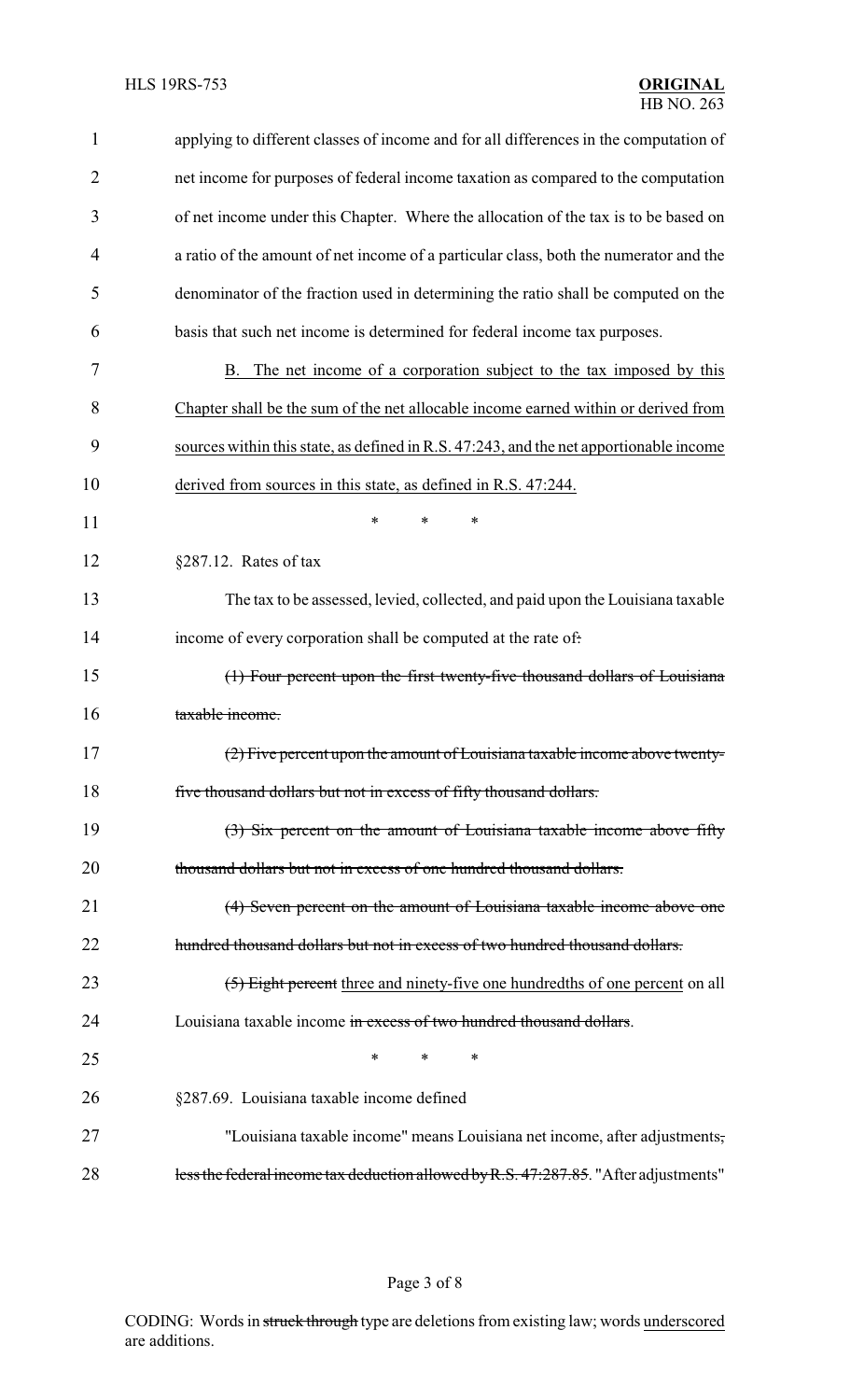| $\mathbf{1}$ | applying to different classes of income and for all differences in the computation of  |
|--------------|----------------------------------------------------------------------------------------|
| 2            | net income for purposes of federal income taxation as compared to the computation      |
| 3            | of net income under this Chapter. Where the allocation of the tax is to be based on    |
| 4            | a ratio of the amount of net income of a particular class, both the numerator and the  |
| 5            | denominator of the fraction used in determining the ratio shall be computed on the     |
| 6            | basis that such net income is determined for federal income tax purposes.              |
| 7            | The net income of a corporation subject to the tax imposed by this<br>В.               |
| 8            | Chapter shall be the sum of the net allocable income earned within or derived from     |
| 9            | sources within this state, as defined in R.S. 47:243, and the net apportionable income |
| 10           | derived from sources in this state, as defined in R.S. 47:244.                         |
| 11           | $\ast$<br>*<br>*                                                                       |
| 12           | $§287.12.$ Rates of tax                                                                |
| 13           | The tax to be assessed, levied, collected, and paid upon the Louisiana taxable         |
| 14           | income of every corporation shall be computed at the rate of.                          |
| 15           | (1) Four percent upon the first twenty-five thousand dollars of Louisiana              |
| 16           | taxable income.                                                                        |
| 17           | (2) Five percent upon the amount of Louisiana taxable income above twenty-             |
| 18           | five thousand dollars but not in excess of fifty thousand dollars.                     |
| 19           | (3) Six percent on the amount of Louisiana taxable income above fifty                  |
| 20           | thousand dollars but not in excess of one hundred thousand dollars.                    |
| 21           | (4) Seven percent on the amount of Louisiana taxable income above one                  |
| 22           | hundred thousand dollars but not in excess of two hundred thousand dollars.            |
| 23           | (5) Eight percent three and ninety-five one hundredths of one percent on all           |
| 24           | Louisiana taxable income in excess of two hundred thousand dollars.                    |
| 25           | *<br>*<br>*                                                                            |
| 26           | §287.69. Louisiana taxable income defined                                              |
| 27           | "Louisiana taxable income" means Louisiana net income, after adjustments,              |
| 28           | less the federal income tax deduction allowed by R.S. 47:287.85. "After adjustments"   |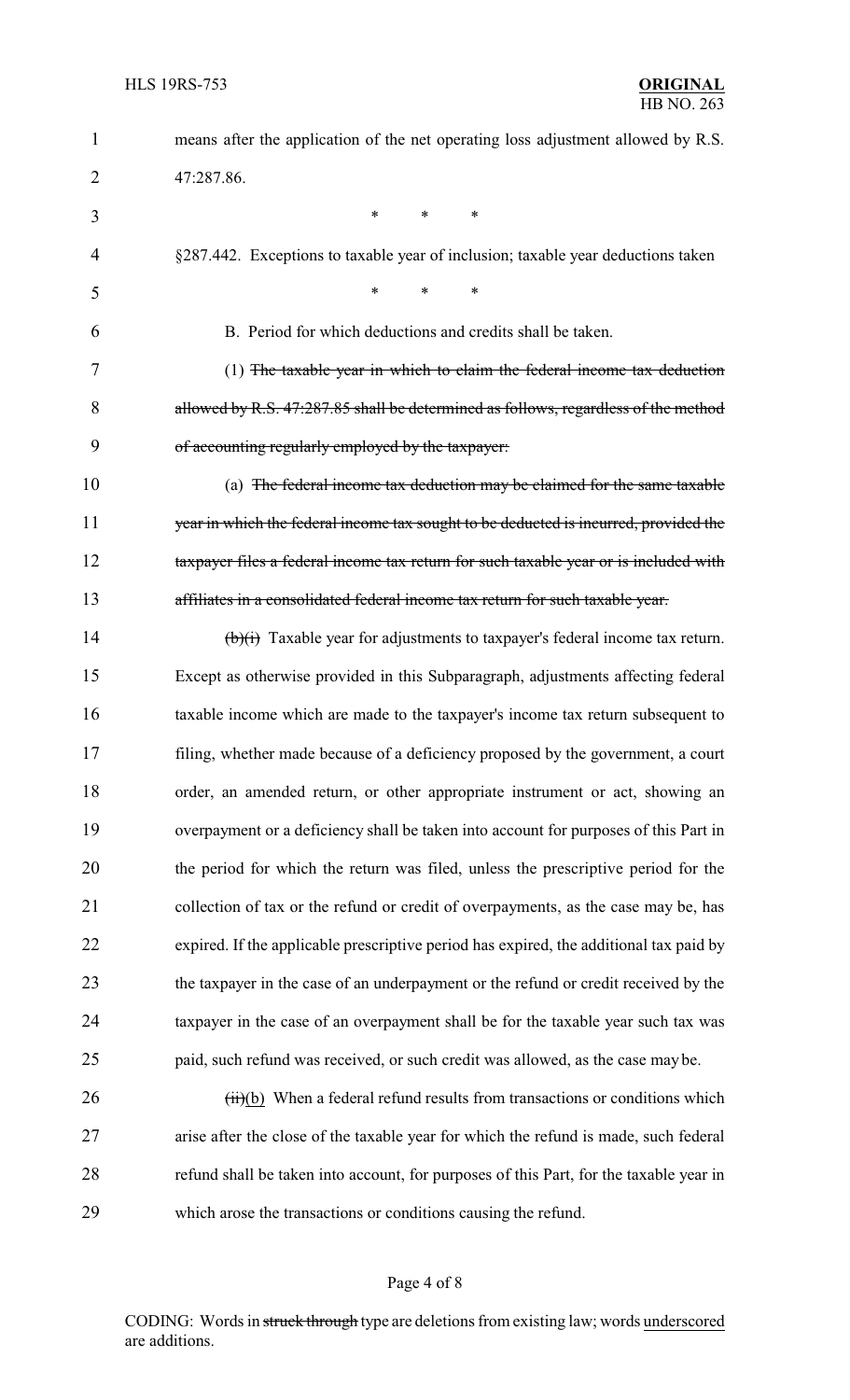| $\mathbf 1$ | means after the application of the net operating loss adjustment allowed by R.S.             |
|-------------|----------------------------------------------------------------------------------------------|
| 2           | 47:287.86.                                                                                   |
| 3           | *<br>*<br>∗                                                                                  |
| 4           | §287.442. Exceptions to taxable year of inclusion; taxable year deductions taken             |
| 5           | *<br>*                                                                                       |
| 6           | B. Period for which deductions and credits shall be taken.                                   |
| 7           | (1) The taxable year in which to claim the federal income tax deduction                      |
| 8           | allowed by R.S. 47:287.85 shall be determined as follows, regardless of the method           |
| 9           | of accounting regularly employed by the taxpayer:                                            |
| 10          | (a) The federal income tax deduction may be claimed for the same taxable                     |
| 11          | year in which the federal income tax sought to be deducted is incurred, provided the         |
| 12          | taxpayer files a federal income tax return for such taxable year or is included with         |
| 13          | affiliates in a consolidated federal income tax return for such taxable year.                |
| 14          | $\overrightarrow{(b)}$ Taxable year for adjustments to taxpayer's federal income tax return. |
| 15          | Except as otherwise provided in this Subparagraph, adjustments affecting federal             |
| 16          | taxable income which are made to the taxpayer's income tax return subsequent to              |
| 17          | filing, whether made because of a deficiency proposed by the government, a court             |
| 18          | order, an amended return, or other appropriate instrument or act, showing an                 |
| 19          | overpayment or a deficiency shall be taken into account for purposes of this Part in         |
| 20          | the period for which the return was filed, unless the prescriptive period for the            |
| 21          | collection of tax or the refund or credit of overpayments, as the case may be, has           |
| 22          | expired. If the applicable prescriptive period has expired, the additional tax paid by       |
| 23          | the taxpayer in the case of an underpayment or the refund or credit received by the          |
| 24          | taxpayer in the case of an overpayment shall be for the taxable year such tax was            |
| 25          | paid, such refund was received, or such credit was allowed, as the case may be.              |
| 26          | $(ii)(b)$ When a federal refund results from transactions or conditions which                |
| 27          | arise after the close of the taxable year for which the refund is made, such federal         |
| 28          | refund shall be taken into account, for purposes of this Part, for the taxable year in       |
| 29          | which arose the transactions or conditions causing the refund.                               |

# Page 4 of 8

CODING: Words in struck through type are deletions from existing law; words underscored are additions.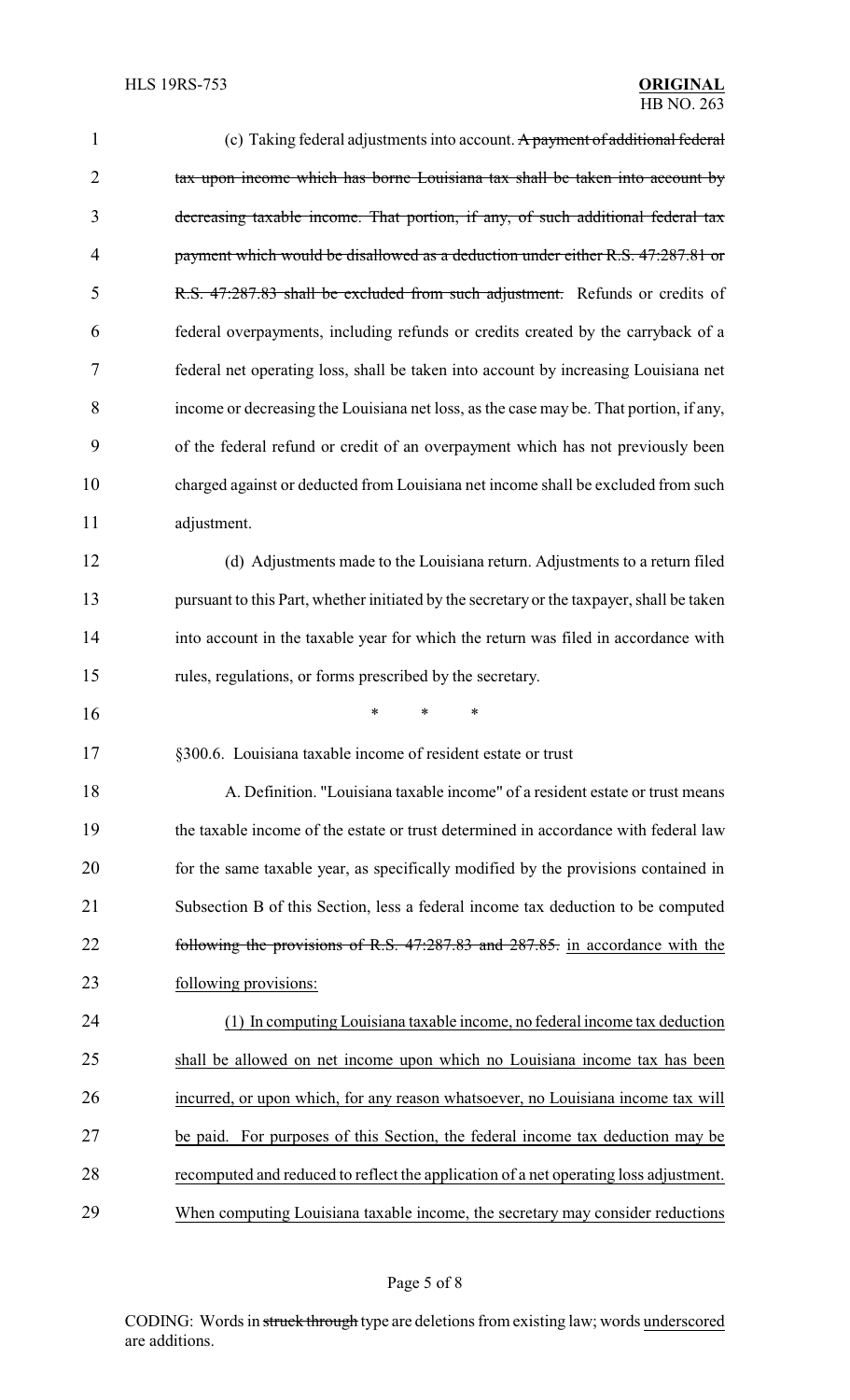| 1              | (c) Taking federal adjustments into account. A payment of additional federal              |
|----------------|-------------------------------------------------------------------------------------------|
| $\overline{2}$ | tax upon income which has borne Louisiana tax shall be taken into account by              |
| 3              | decreasing taxable income. That portion, if any, of such additional federal tax           |
| 4              | payment which would be disallowed as a deduction under either R.S. 47:287.81 or           |
| 5              | R.S. 47:287.83 shall be excluded from such adjustment. Refunds or credits of              |
| 6              | federal overpayments, including refunds or credits created by the carryback of a          |
| 7              | federal net operating loss, shall be taken into account by increasing Louisiana net       |
| 8              | income or decreasing the Louisiana net loss, as the case may be. That portion, if any,    |
| 9              | of the federal refund or credit of an overpayment which has not previously been           |
| 10             | charged against or deducted from Louisiana net income shall be excluded from such         |
| 11             | adjustment.                                                                               |
| 12             | (d) Adjustments made to the Louisiana return. Adjustments to a return filed               |
| 13             | pursuant to this Part, whether initiated by the secretary or the taxpayer, shall be taken |
| 14             | into account in the taxable year for which the return was filed in accordance with        |
| 15             | rules, regulations, or forms prescribed by the secretary.                                 |
| 16             | ∗<br>∗<br>*                                                                               |
| 17             | §300.6. Louisiana taxable income of resident estate or trust                              |
| 18             | A. Definition. "Louisiana taxable income" of a resident estate or trust means             |
| 19             | the taxable income of the estate or trust determined in accordance with federal law       |
| 20             | for the same taxable year, as specifically modified by the provisions contained in        |
| 21             | Subsection B of this Section, less a federal income tax deduction to be computed          |
| 22             | following the provisions of R.S. 47:287.83 and 287.85. in accordance with the             |
| 23             | following provisions:                                                                     |
| 24             | (1) In computing Louisiana taxable income, no federal income tax deduction                |
| 25             | shall be allowed on net income upon which no Louisiana income tax has been                |
| 26             | incurred, or upon which, for any reason whatsoever, no Louisiana income tax will          |
| 27             | be paid. For purposes of this Section, the federal income tax deduction may be            |
| 28             | recomputed and reduced to reflect the application of a net operating loss adjustment.     |
| 29             | When computing Louisiana taxable income, the secretary may consider reductions            |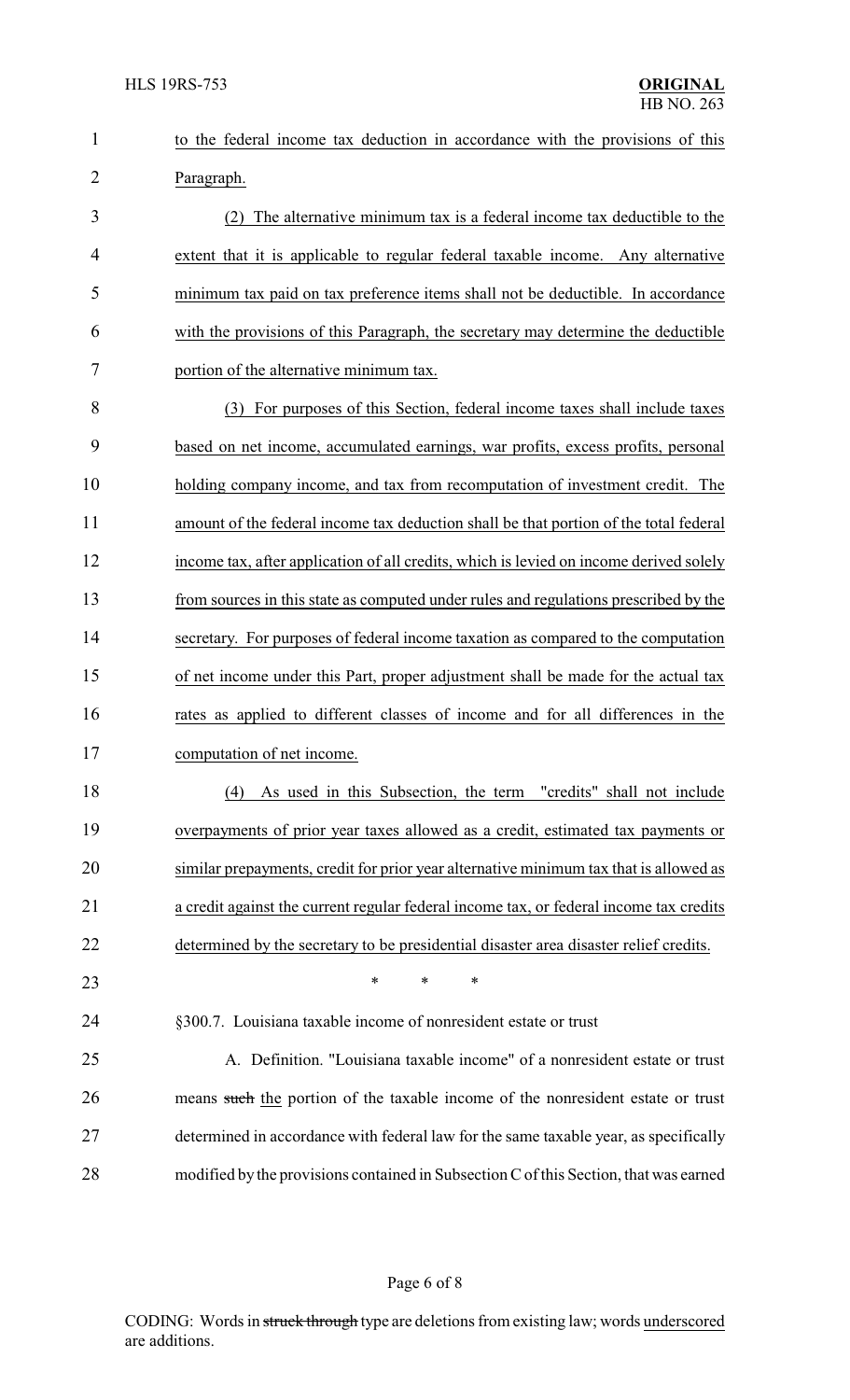| 1              | to the federal income tax deduction in accordance with the provisions of this          |
|----------------|----------------------------------------------------------------------------------------|
| $\overline{2}$ | Paragraph.                                                                             |
| 3              | (2) The alternative minimum tax is a federal income tax deductible to the              |
| 4              | extent that it is applicable to regular federal taxable income. Any alternative        |
| 5              | minimum tax paid on tax preference items shall not be deductible. In accordance        |
| 6              | with the provisions of this Paragraph, the secretary may determine the deductible      |
| 7              | portion of the alternative minimum tax.                                                |
| 8              | (3) For purposes of this Section, federal income taxes shall include taxes             |
| 9              | based on net income, accumulated earnings, war profits, excess profits, personal       |
| 10             | holding company income, and tax from recomputation of investment credit. The           |
| 11             | amount of the federal income tax deduction shall be that portion of the total federal  |
| 12             | income tax, after application of all credits, which is levied on income derived solely |
| 13             | from sources in this state as computed under rules and regulations prescribed by the   |
| 14             | secretary. For purposes of federal income taxation as compared to the computation      |
| 15             | of net income under this Part, proper adjustment shall be made for the actual tax      |
| 16             | rates as applied to different classes of income and for all differences in the         |
| 17             | computation of net income.                                                             |
| 18             | As used in this Subsection, the term "credits" shall not include<br>(4)                |
| 19             | overpayments of prior year taxes allowed as a credit, estimated tax payments or        |
| 20             | similar prepayments, credit for prior year alternative minimum tax that is allowed as  |
| 21             | a credit against the current regular federal income tax, or federal income tax credits |
| 22             | determined by the secretary to be presidential disaster area disaster relief credits.  |
| 23             | $\ast$<br>∗<br>*                                                                       |
| 24             | §300.7. Louisiana taxable income of nonresident estate or trust                        |
| 25             | A. Definition. "Louisiana taxable income" of a nonresident estate or trust             |
| 26             | means such the portion of the taxable income of the nonresident estate or trust        |
| 27             | determined in accordance with federal law for the same taxable year, as specifically   |
| 28             | modified by the provisions contained in Subsection C of this Section, that was earned  |
|                |                                                                                        |

## Page 6 of 8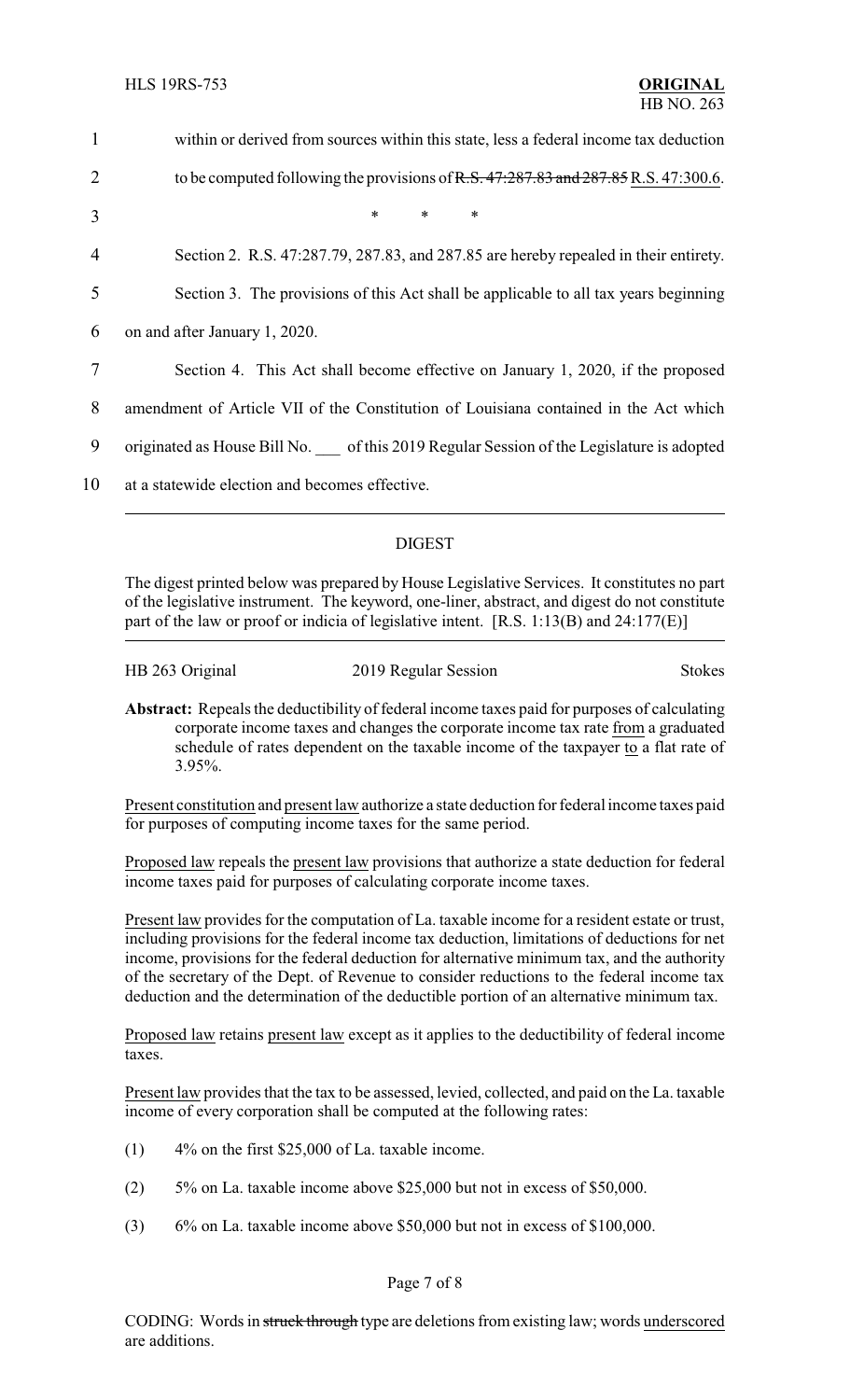| $\mathbf{1}$   | within or derived from sources within this state, less a federal income tax deduction      |
|----------------|--------------------------------------------------------------------------------------------|
| $\overline{2}$ | to be computed following the provisions of R.S. $47:287.83$ and $287.85$ R.S. $47:300.6$ . |
| 3              | $\ast$<br>$\ast$<br>$\ast$                                                                 |
| $\overline{4}$ | Section 2. R.S. 47:287.79, 287.83, and 287.85 are hereby repealed in their entirety.       |
| 5              | Section 3. The provisions of this Act shall be applicable to all tax years beginning       |
| 6              | on and after January 1, 2020.                                                              |
| 7              | Section 4. This Act shall become effective on January 1, 2020, if the proposed             |
| 8              | amendment of Article VII of the Constitution of Louisiana contained in the Act which       |
| 9              | originated as House Bill No. of this 2019 Regular Session of the Legislature is adopted    |
| 10             | at a statewide election and becomes effective.                                             |
|                |                                                                                            |

### DIGEST

The digest printed below was prepared by House Legislative Services. It constitutes no part of the legislative instrument. The keyword, one-liner, abstract, and digest do not constitute part of the law or proof or indicia of legislative intent. [R.S. 1:13(B) and 24:177(E)]

HB 263 Original 2019 Regular Session Stokes

**Abstract:** Repeals the deductibility of federal income taxes paid for purposes of calculating corporate income taxes and changes the corporate income tax rate from a graduated schedule of rates dependent on the taxable income of the taxpayer to a flat rate of 3.95%.

Present constitution and present law authorize a state deduction for federal income taxes paid for purposes of computing income taxes for the same period.

Proposed law repeals the present law provisions that authorize a state deduction for federal income taxes paid for purposes of calculating corporate income taxes.

Present law provides for the computation of La. taxable income for a resident estate or trust, including provisions for the federal income tax deduction, limitations of deductions for net income, provisions for the federal deduction for alternative minimum tax, and the authority of the secretary of the Dept. of Revenue to consider reductions to the federal income tax deduction and the determination of the deductible portion of an alternative minimum tax.

Proposed law retains present law except as it applies to the deductibility of federal income taxes.

Present law provides that the tax to be assessed, levied, collected, and paid on the La. taxable income of every corporation shall be computed at the following rates:

- (1) 4% on the first \$25,000 of La. taxable income.
- (2) 5% on La. taxable income above \$25,000 but not in excess of \$50,000.
- (3) 6% on La. taxable income above \$50,000 but not in excess of \$100,000.